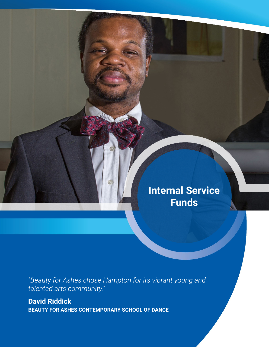

"Beauty for Ashes chose Hampton for its vibrant young and talented arts community."

**David Riddick BEAUTY FOR ASHES CONTEMPORARY SCHOOL OF DANCE**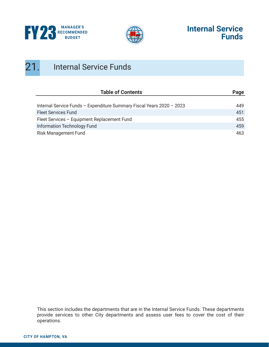





# 21. Internal Service Funds

| <b>Table of Contents</b>                                              | Page |
|-----------------------------------------------------------------------|------|
| Internal Service Funds - Expenditure Summary Fiscal Years 2020 - 2023 | 449  |
| <b>Fleet Services Fund</b>                                            | 451  |
| Fleet Services - Equipment Replacement Fund                           | 455  |
| Information Technology Fund                                           | 459  |
| <b>Risk Management Fund</b>                                           | 463  |

This section includes the departments that are in the Internal Service Funds. These departments provide services to other City departments and assess user fees to cover the cost of their operations.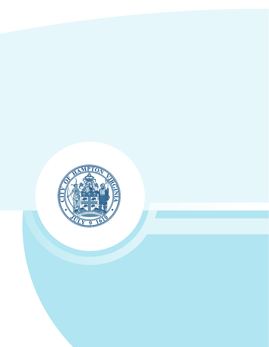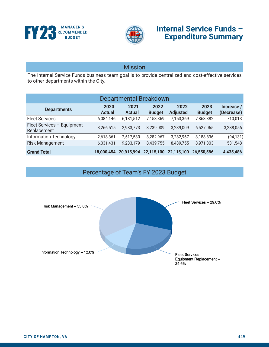



## **Internal Service Funds – Expenditure Summary**

## Mission

The Internal Service Funds business team goal is to provide centralized and cost-effective services to other departments within the City.

| <b>Departmental Breakdown</b>             |                       |                       |                       |                         |                       |                          |  |  |
|-------------------------------------------|-----------------------|-----------------------|-----------------------|-------------------------|-----------------------|--------------------------|--|--|
| <b>Departments</b>                        | 2020<br><b>Actual</b> | 2021<br><b>Actual</b> | 2022<br><b>Budget</b> | 2022<br><b>Adjusted</b> | 2023<br><b>Budget</b> | Increase /<br>(Decrease) |  |  |
| <b>Fleet Services</b>                     | 6,084,146             | 6,181,512             | 7,153,369             | 7,153,369               | 7,863,382             | 710,013                  |  |  |
| Fleet Services - Equipment<br>Replacement | 3,266,515             | 2,983,773             | 3,239,009             | 3,239,009               | 6,527,065             | 3,288,056                |  |  |
| <b>Information Technology</b>             | 2,618,361             | 2,517,530             | 3,282,967             | 3,282,967               | 3,188,836             | (94,131)                 |  |  |
| <b>Risk Management</b>                    | 6,031,431             | 9,233,179             | 8,439,755             | 8,439,755               | 8,971,303             | 531,548                  |  |  |
| <b>Grand Total</b>                        | 18,000,454            | 20,915,994            | 22,115,100            | 22,115,100              | 26.550.586            | 4,435,486                |  |  |

Percentage of Team's FY 2023 Budget

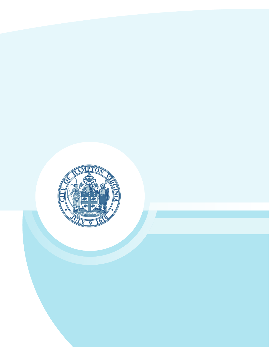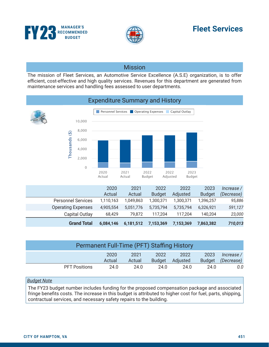



## Mission

The mission of Fleet Services, an Automotive Service Excellence (A.S.E) organization, is to offer efficient, cost-effective and high quality services. Revenues for this department are generated from maintenance services and handling fees assessed to user departments.



|                           | 2020      | 2021      | 2022          | 2022      | 2023          | Increase / |
|---------------------------|-----------|-----------|---------------|-----------|---------------|------------|
|                           | Actual    | Actual    | <b>Budget</b> | Adjusted  | <b>Budget</b> | (Decrease) |
| <b>Personnel Services</b> | 1,110,163 | 1,049,863 | 1,300,371     | 1.300.371 | 1,396,257     | 95,886     |
| <b>Operating Expenses</b> | 4,905,554 | 5,051,776 | 5,735,794     | 5.735.794 | 6,326,921     | 591,127    |
| Capital Outlay            | 68.429    | 79.872    | 117.204       | 117.204   | 140.204       | 23,000     |
| <b>Grand Total</b>        | 6,084,146 | 6,181,512 | 7,153,369     | 7,153,369 | 7,863,382     | 710,013    |

| Permanent Full-Time (PFT) Staffing History |                |                       |                  |                       |                          |
|--------------------------------------------|----------------|-----------------------|------------------|-----------------------|--------------------------|
| 2020<br>Actual                             | 2021<br>Actual | 2022<br><b>Budget</b> | 2022<br>Adjusted | 2023<br><b>Budget</b> | Increase /<br>(Decrease) |
| <b>PFT Positions</b><br>24.0               | 24.0           | 24 O                  | 24.0             | 24.0                  | 0.0                      |

## *Budget Note*

The FY23 budget number includes funding for the proposed compensation package and associated fringe benefits costs. The increase in this budget is attributed to higher cost for fuel, parts, shipping, contractual services, and necessary safety repairs to the building.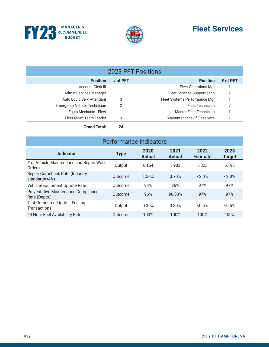



# **Fleet Services**

|                              |          | <b>2023 PFT Positions</b>     |          |
|------------------------------|----------|-------------------------------|----------|
| <b>Position</b>              | # of PFT | <b>Position</b>               | # of PFT |
| <b>Account Clerk III</b>     |          | <b>Fleet Operations Mgr</b>   |          |
| Admin Services Manager       |          | Fleet Services Support Tech   | 2        |
| Auto Equip Serv Attendant    | 3        | Fleet Systems Performance Mgr |          |
| Emergency Vehicle Technician | 2        | <b>Fleet Technician</b>       |          |
| Equip Mechanic - Fleet       |          | Master Fleet Technician       |          |
| Fleet Maint Team Leader      | 3        | Superintendent Of Fleet Svcs  |          |
| <b>Grand Total:</b>          | 24       |                               |          |

| <b>Performance Indicators</b>                        |             |                       |                       |                         |                       |  |  |  |  |
|------------------------------------------------------|-------------|-----------------------|-----------------------|-------------------------|-----------------------|--|--|--|--|
| Indicator                                            | <b>Type</b> | 2020<br><b>Actual</b> | 2021<br><b>Actual</b> | 2022<br><b>Estimate</b> | 2023<br><b>Target</b> |  |  |  |  |
| # of Vehicle Maintenance and Repair Work<br>Orders   | Output      | 6,154                 | 5.903                 | 6.323                   | 6,198                 |  |  |  |  |
| Repair Comeback Rate (Industry<br>standard=<4%)      | Outcome     | 1.20%                 | 0.70%                 | 2.0%                    | 2.0%                  |  |  |  |  |
| Vehicle/Equipment Uptime Rate                        | Outcome     | 94%                   | 96%                   | 97%                     | 97%                   |  |  |  |  |
| Preventative Maintenance Compliance<br>Rate (Depts.) | Outcome     | 96%                   | 96.00%                | 97%                     | 97%                   |  |  |  |  |
| % of Outsourced to ALL Fueling<br>Transactions       | Output      | 0.30%                 | 0.30%                 | < 0.5%                  | < 0.5%                |  |  |  |  |
| 24 Hour Fuel Availability Rate                       | Outcome     | 100%                  | 100%                  | 100%                    | 100%                  |  |  |  |  |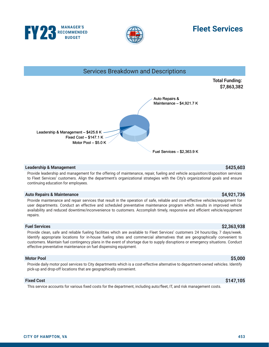



## **Fleet Services**



### **Leadership & Management \$425,603**

Provide leadership and management for the offering of maintenance, repair, fueling and vehicle acquisition/disposition services to Fleet Services' customers. Align the department's organizational strategies with the City's organizational goals and ensure continuing education for employees.

### **Auto Repairs & Maintenance \$4,921,736**

Provide maintenance and repair services that result in the operation of safe, reliable and cost-effective vehicles/equipment for user departments. Conduct an effective and scheduled preventative maintenance program which results in improved vehicle availability and reduced downtime/inconvenience to customers. Accomplish timely, responsive and efficient vehicle/equipment repairs.

### **Fuel Services \$2,363,938**

Provide clean, safe and reliable fueling facilities which are available to Fleet Services' customers 24 hours/day, 7 days/week. Identify appropriate locations for in-house fueling sites and commercial alternatives that are geographically convenient to customers. Maintain fuel contingency plans in the event of shortage due to supply disruptions or emergency situations. Conduct effective preventative maintenance on fuel dispensing equipment.

## **Motor Pool \$5,000**

Provide daily motor pool services to City departments which is a cost-effective alternative to department-owned vehicles. Identify pick-up and drop-off locations that are geographically convenient.

### **Fixed Cost \$147,105**

This service accounts for various fixed costs for the department, including auto/fleet, IT, and risk management costs.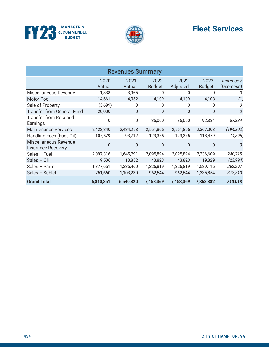



# **Fleet Services**

| <b>Revenues Summary</b>                              |                |                |                       |                  |                       |                         |  |  |  |  |  |
|------------------------------------------------------|----------------|----------------|-----------------------|------------------|-----------------------|-------------------------|--|--|--|--|--|
|                                                      | 2020<br>Actual | 2021<br>Actual | 2022<br><b>Budget</b> | 2022<br>Adjusted | 2023<br><b>Budget</b> | Increase/<br>(Decrease) |  |  |  |  |  |
| Miscellaneous Revenue                                | 1,838          | 3,965          | 0                     | 0                | 0                     | 0                       |  |  |  |  |  |
| Motor Pool                                           | 14,661         | 4,052          | 4,109                 | 4,109            | 4,108                 | (1)                     |  |  |  |  |  |
| Sale of Property                                     | (3,699)        | 0              | 0                     | 0                | 0                     | 0                       |  |  |  |  |  |
| <b>Transfer from General Fund</b>                    | 20,000         | $\mathbf 0$    | $\mathbf{0}$          | $\Omega$         | $\Omega$              | $\Omega$                |  |  |  |  |  |
| <b>Transfer from Retained</b><br>Earnings            | 0              | 0              | 35,000                | 35,000           | 92,384                | 57,384                  |  |  |  |  |  |
| <b>Maintenance Services</b>                          | 2,423,840      | 2,434,258      | 2,561,805             | 2,561,805        | 2,367,003             | (194, 802)              |  |  |  |  |  |
| Handling Fees (Fuel, Oil)                            | 107,579        | 93,712         | 123,375               | 123,375          | 118,479               | (4,896)                 |  |  |  |  |  |
| Miscellaneous Revenue -<br><b>Insurance Recovery</b> | $\pmb{0}$      | 0              | 0                     | $\Omega$         | 0                     | $\theta$                |  |  |  |  |  |
| Sales - Fuel                                         | 2,097,316      | 1,645,791      | 2,095,894             | 2,095,894        | 2,336,609             | 240,715                 |  |  |  |  |  |
| $Sales - Oil$                                        | 19,506         | 18,852         | 43,823                | 43,823           | 19,829                | (23, 994)               |  |  |  |  |  |
| Sales - Parts                                        | 1,377,651      | 1,236,460      | 1,326,819             | 1,326,819        | 1,589,116             | 262,297                 |  |  |  |  |  |
| Sales - Sublet                                       | 751,660        | 1,103,230      | 962,544               | 962,544          | 1,335,854             | 373,310                 |  |  |  |  |  |
| <b>Grand Total</b>                                   | 6,810,351      | 6,540,320      | 7,153,369             | 7,153,369        | 7,863,382             | 710,013                 |  |  |  |  |  |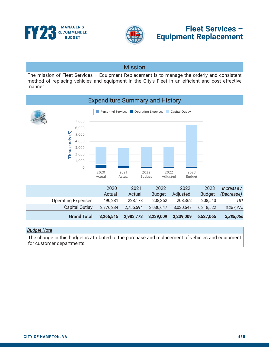



## **Fleet Services – Equipment Replacement**

## Mission

The mission of Fleet Services – Equipment Replacement is to manage the orderly and consistent method of replacing vehicles and equipment in the City's Fleet in an efficient and cost effective manner.



## *Budget Note*

The change in this budget is attributed to the purchase and replacement of vehicles and equipment for customer departments.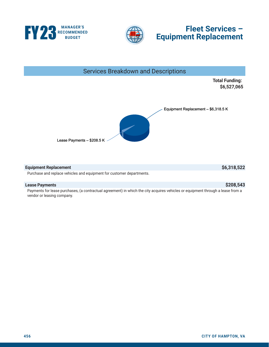



# **Fleet Services – Equipment Replacement**

## Services Breakdown and Descriptions

**Total Funding: \$6,527,065**



## **Equipment Replacement \$6,318,522**

Purchase and replace vehicles and equipment for customer departments.

## **Lease Payments \$208,543**

Payments for lease purchases, (a contractual agreement) in which the city acquires vehicles or equipment through a lease from a vendor or leasing company.

### **456 CITY OF HAMPTON, VA**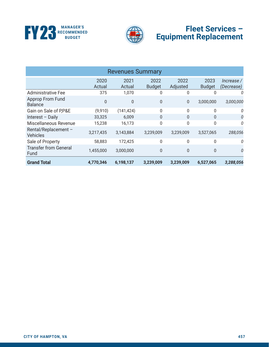



# **Fleet Services – Equipment Replacement**

| <b>Revenues Summary</b>                 |                |                |                       |                  |                       |                          |  |  |  |
|-----------------------------------------|----------------|----------------|-----------------------|------------------|-----------------------|--------------------------|--|--|--|
|                                         | 2020<br>Actual | 2021<br>Actual | 2022<br><b>Budget</b> | 2022<br>Adjusted | 2023<br><b>Budget</b> | Increase /<br>(Decrease) |  |  |  |
| <b>Administrative Fee</b>               | 375            | 1,070          | 0                     | 0                |                       | 0                        |  |  |  |
| Approp From Fund<br><b>Balance</b>      | $\mathbf 0$    | $\mathbf 0$    | $\mathbf 0$           | 0                | 3,000,000             | 3,000,000                |  |  |  |
| Gain on Sale of P,P&E                   | (9,910)        | (141, 424)     | 0                     | 0                | $\mathbf{0}$          | 0                        |  |  |  |
| Interest - Daily                        | 33,325         | 6,009          | $\mathbf{0}$          | $\mathbf{0}$     | $\Omega$              | $\theta$                 |  |  |  |
| Miscellaneous Revenue                   | 15,238         | 16,173         | 0                     | 0                | $\mathbf{0}$          | 0                        |  |  |  |
| Rental/Replacement -<br><b>Vehicles</b> | 3,217,435      | 3,143,884      | 3,239,009             | 3,239,009        | 3,527,065             | 288,056                  |  |  |  |
| Sale of Property                        | 58,883         | 172,425        | 0                     | 0                | $\mathbf{0}$          | 0                        |  |  |  |
| <b>Transfer from General</b><br>Fund    | 1,455,000      | 3,000,000      | $\boldsymbol{0}$      | 0                | $\Omega$              | 0                        |  |  |  |
| <b>Grand Total</b>                      | 4,770,346      | 6,198,137      | 3,239,009             | 3,239,009        | 6,527,065             | 3,288,056                |  |  |  |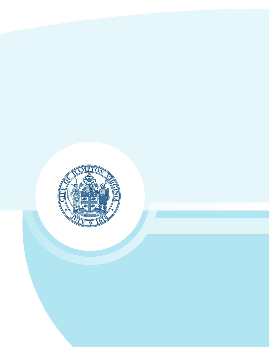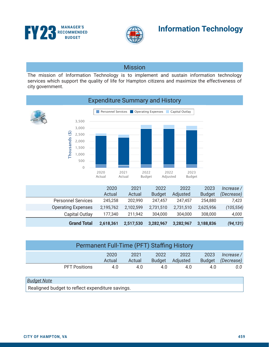



## Mission

The mission of Information Technology is to implement and sustain information technology services which support the quality of life for Hampton citizens and maximize the effectiveness of city government.



|                           | 2020      | 2021      | 2022          | 2022      | 2023          | Increase/  |
|---------------------------|-----------|-----------|---------------|-----------|---------------|------------|
|                           | Actual    | Actual    | <b>Budget</b> | Adjusted  | <b>Budget</b> | (Decrease) |
| <b>Personnel Services</b> | 245,258   | 202,990   | 247.457       | 247.457   | 254,880       | 7,423      |
| <b>Operating Expenses</b> | 2,195,762 | 2,102,599 | 2,731,510     | 2,731,510 | 2,625,956     | (105, 554) |
| Capital Outlay            | 177,340   | 211,942   | 304,000       | 304,000   | 308,000       | 4,000      |
| <b>Grand Total</b>        | 2,618,361 | 2,517,530 | 3,282,967     | 3,282,967 | 3,188,836     | (94, 131)  |

| Permanent Full-Time (PFT) Staffing History |                                                   |                |                |                       |                  |                       |                          |  |  |
|--------------------------------------------|---------------------------------------------------|----------------|----------------|-----------------------|------------------|-----------------------|--------------------------|--|--|
|                                            |                                                   | 2020<br>Actual | 2021<br>Actual | 2022<br><b>Budget</b> | 2022<br>Adjusted | 2023<br><b>Budget</b> | Increase /<br>(Decrease) |  |  |
|                                            | <b>PFT Positions</b>                              | 4.0            | 4.0            | 4.0                   | 4.0              | 4.0                   | 0.0                      |  |  |
| <b>Budget Note</b>                         |                                                   |                |                |                       |                  |                       |                          |  |  |
|                                            | Declinated burdent to reflect expenditure covings |                |                |                       |                  |                       |                          |  |  |

Realigned budget to reflect expenditure savings.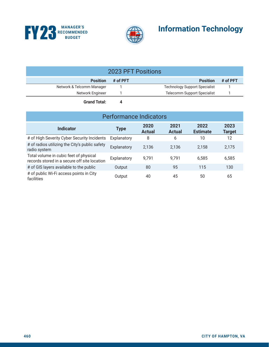



# **Information Technology**

|                           |          | <b>2023 PFT Positions</b>            |          |
|---------------------------|----------|--------------------------------------|----------|
| <b>Position</b>           | # of PFT | <b>Position</b>                      | # of PFT |
| Network & Telcomm Manager |          | <b>Technology Support Specialist</b> |          |
| Network Engineer          |          | <b>Telecomm Support Specialist</b>   |          |
| <b>Grand Total:</b>       |          |                                      |          |

### Performance Indicators **Indicator Type <sup>2020</sup> Actual 2021 Actual 2022 Estimate 2023 Target** # of High Severity Cyber Security Incidents Explanatory 8 6 10 12 # of radios utilizing the City's public safety radio system and the only b passic sarcty Explanatory 2,136 2,136 2,158 2,175 Total volume in cubic feet of physical rotal volume in cubic leet of physical explanatory 9,791 9,791 6,585 6,585 6,585 # of GIS layers available to the public and Dutput 80 95 115 130 # of public Wi-Fi access points in City morphisms of points in only the output that the discrete that the 40 and 45 50 65 65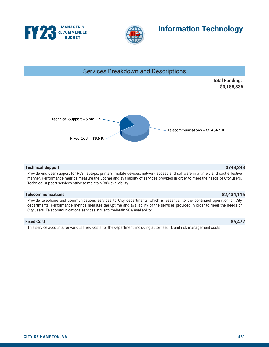



# **Information Technology**

## Services Breakdown and Descriptions

**Total Funding: \$3,188,836**



## **Technical Support \$748,248**

Provide end user support for PCs, laptops, printers, mobile devices, network access and software in a timely and cost effective manner. Performance metrics measure the uptime and availability of services provided in order to meet the needs of City users. Technical support services strive to maintain 98% availability.

### **Telecommunications \$2,434,116**

Provide telephone and communications services to City departments which is essential to the continued operation of City departments. Performance metrics measure the uptime and availability of the services provided in order to meet the needs of City users. Telecommunications services strive to maintain 98% availability.

## **Fixed Cost \$6,472**

This service accounts for various fixed costs for the department, including auto/fleet, IT, and risk management costs.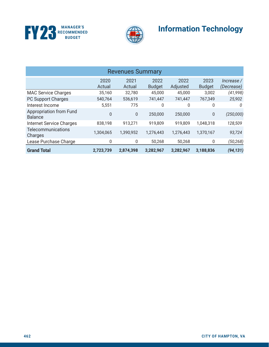



# **Information Technology**

| <b>Revenues Summary</b>                          |                |                |                       |                  |                       |                          |  |  |  |  |  |
|--------------------------------------------------|----------------|----------------|-----------------------|------------------|-----------------------|--------------------------|--|--|--|--|--|
|                                                  | 2020<br>Actual | 2021<br>Actual | 2022<br><b>Budget</b> | 2022<br>Adjusted | 2023<br><b>Budget</b> | Increase /<br>(Decrease) |  |  |  |  |  |
| <b>MAC Service Charges</b>                       | 35,160         | 32,780         | 45,000                | 45,000           | 3,002                 | (41, 998)                |  |  |  |  |  |
| PC Support Charges                               | 540,764        | 536,619        | 741,447               | 741,447          | 767,349               | 25,902                   |  |  |  |  |  |
| Interest Income                                  | 5,551          | 775            | 0                     | 0                | 0                     | 0                        |  |  |  |  |  |
| <b>Appropriation from Fund</b><br><b>Balance</b> | 0              | $\pmb{0}$      | 250,000               | 250,000          | $\mathbf 0$           | (250,000)                |  |  |  |  |  |
| <b>Internet Service Charges</b>                  | 838,198        | 913,271        | 919,809               | 919,809          | 1,048,318             | 128,509                  |  |  |  |  |  |
| Telecommunications<br>Charges                    | 1,304,065      | 1,390,952      | 1,276,443             | 1,276,443        | 1,370,167             | 93,724                   |  |  |  |  |  |
| Lease Purchase Charge                            | 0              | $\pmb{0}$      | 50,268                | 50,268           | 0                     | (50, 268)                |  |  |  |  |  |
| <b>Grand Total</b>                               | 2,723,739      | 2,874,398      | 3,282,967             | 3,282,967        | 3,188,836             | (94, 131)                |  |  |  |  |  |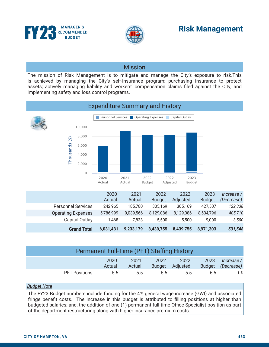



## Mission

The mission of Risk Management is to mitigate and manage the City's exposure to risk.This is achieved by managing the City's self-insurance program; purchasing insurance to protect assets; actively managing liability and workers' compensation claims filed against the City; and implementing safety and loss control programs.



| Permanent Full-Time (PFT) Staffing History |                |                |                       |                  |                       |                          |  |
|--------------------------------------------|----------------|----------------|-----------------------|------------------|-----------------------|--------------------------|--|
|                                            | 2020<br>Actual | 2021<br>Actual | 2022<br><b>Budget</b> | 2022<br>Adjusted | 2023<br><b>Budget</b> | Increase /<br>(Decrease) |  |
| <b>PFT Positions</b>                       | 5.5            | 5.5            | 5.5                   | 5.5              | 6.5                   | 1.0                      |  |

## *Budget Note*

The FY23 Budget numbers include funding for the 4% general wage increase (GWI) and associated fringe benefit costs. The increase in this budget is attributed to filling positions at higher than budgeted salaries; and, the addition of one (1) permanent full-time Office Specialist position as part of the department restructuring along with higher insurance premium costs.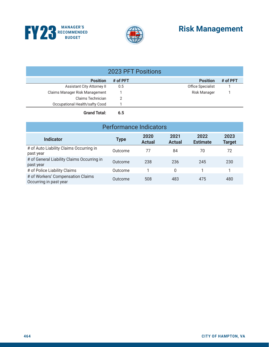



# **Risk Management**

|                                |          | <b>2023 PFT Positions</b> |          |
|--------------------------------|----------|---------------------------|----------|
| <b>Position</b>                | # of PFT | <b>Position</b>           | # of PFT |
| Assistant City Attorney II     | 0.5      | Office Specialist         |          |
| Claims Manager Risk Management |          | <b>Risk Manager</b>       |          |
| Claims Technician              | 2        |                           |          |
| Occupational Health/safty Cood |          |                           |          |
| <b>Grand Total:</b>            | 6.5      |                           |          |

| <b>Performance Indicators</b>                               |             |                       |                       |                         |                       |  |
|-------------------------------------------------------------|-------------|-----------------------|-----------------------|-------------------------|-----------------------|--|
| <b>Indicator</b>                                            | <b>Type</b> | 2020<br><b>Actual</b> | 2021<br><b>Actual</b> | 2022<br><b>Estimate</b> | 2023<br><b>Target</b> |  |
| # of Auto Liability Claims Occurring in<br>past year        | Outcome     | 77                    | 84                    | 70                      | 72                    |  |
| # of General Liability Claims Occurring in<br>past year     | Outcome     | 238                   | 236                   | 245                     | 230                   |  |
| # of Police Liability Claims                                | Outcome     |                       | $\Omega$              |                         |                       |  |
| # of Workers' Compensation Claims<br>Occurring in past year | Outcome     | 508                   | 483                   | 475                     | 480                   |  |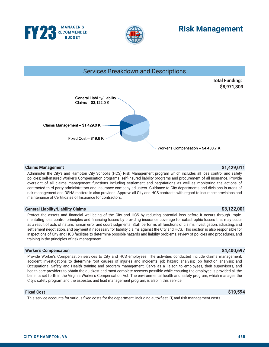



## **Risk Management**



### **Claims Management \$1,429,011**

Administer the City's and Hampton City School's (HCS) Risk Management program which includes all loss control and safety policies; self-insured Worker's Compensation programs; self-insured liability programs and procurement of all insurance. Provide oversight of all claims management functions including settlement and negotiations as well as monitoring the actions of contracted third party administrators and insurance company adjusters. Guidance to City departments and divisions in areas of risk management and OSHA matters is also provided. Approve all City and HCS contracts with regard to insurance provisions and maintenance of Certificates of Insurance for contractors.

### **General Liability/Liability Claims \$3,122,001**

Protect the assets and financial well-being of the City and HCS by reducing potential loss before it occurs through implementating loss control principles and financing losses by providing insurance coverage for catastrophic losses that may occur as a result of acts of nature, human error and court judgments. Staff performs all functions of claims investigation, adjusting, and settlement negotiation, and payment if necessary for liability claims against the City and HCS. This section is also responsible for inspections of City and HCS facilities to determine possible hazards and liability problems, review of policies and procedures, and training in the principles of risk management.

### **Worker's Compensation \$4,400,697**

Provide Worker's Compensation services to City and HCS employees. The activities conducted include claims management; accident investigations to determine root causes of injuries and incidents; job hazard analysis; job function analysis; and Occupational Safety and Health training and program management. Serve as a liaison to employees, their supervisors, and health care providers to obtain the quickest and most complete recovery possible while ensuring the employee is provided all the benefits set forth in the Virginia Worker's Compensation Act. The environmental health and safety program, which manages the City's safety program and the asbestos and lead management program, is also in this service.

This service accounts for various fixed costs for the department, including auto/fleet, IT, and risk management costs.